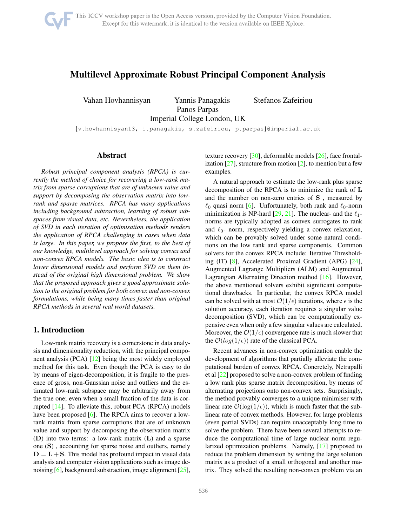<span id="page-0-0"></span>

# Multilevel Approximate Robust Principal Component Analysis

Vahan Hovhannisyan Yannis Panagakis Stefanos Zafeiriou Panos Parpas Imperial College London, UK

{v.hovhannisyan13, i.panagakis, s.zafeiriou, p.parpas}@imperial.ac.uk

## Abstract

*Robust principal component analysis (RPCA) is currently the method of choice for recovering a low-rank matrix from sparse corruptions that are of unknown value and support by decomposing the observation matrix into lowrank and sparse matrices. RPCA has many applications including background subtraction, learning of robust subspaces from visual data, etc. Nevertheless, the application of SVD in each iteration of optimisation methods renders the application of RPCA challenging in cases when data is large. In this paper, we propose the first, to the best of our knowledge, multilevel approach for solving convex and non-convex RPCA models. The basic idea is to construct lower dimensional models and perform SVD on them instead of the original high dimensional problem. We show that the proposed approach gives a good approximate solution to the original problem for both convex and non-convex formulations, while being many times faster than original RPCA methods in several real world datasets.*

# 1. Introduction

Low-rank matrix recovery is a cornerstone in data analysis and dimensionality reduction, with the principal component analysis (PCA) [\[12\]](#page-8-0) being the most widely employed method for this task. Even though the PCA is easy to do by means of eigen-decomposition, it is fragile to the presence of gross, non-Gaussian noise and outliers and the estimated low-rank subspace may be arbitrarily away from the true one; even when a small fraction of the data is corrupted [\[14\]](#page-8-1). To alleviate this, robust PCA (RPCA) models have been proposed [\[6\]](#page-7-0). The RPCA aims to recover a lowrank matrix from sparse corruptions that are of unknown value and support by decomposing the observation matrix (D) into two terms: a low-rank matrix (L) and a sparse one (S) , accounting for sparse noise and outliers, namely  $D = L + S$ . This model has profound impact in visual data analysis and computer vision applications such as image denoising [\[6\]](#page-7-0), background substraction, image alignment [\[25\]](#page-8-2),

texture recovery [\[30\]](#page-8-3), deformable models [\[26\]](#page-8-4), face frontalization  $[27]$ , structure from motion  $[2]$ , to mention but a few examples.

A natural approach to estimate the low-rank plus sparse decomposition of the RPCA is to minimize the rank of L and the number on non-zero entries of S , measured by  $\ell_0$  quasi norm [\[6\]](#page-7-0). Unfortunately, both rank and  $\ell_0$ -norm minimization is NP-hard  $[29, 21]$  $[29, 21]$  $[29, 21]$ . The nuclear- and the  $\ell_1$ norms are typically adopted as convex surrogates to rank and  $\ell_0$ - norm, respectively yielding a convex relaxation, which can be provably solved under some natural conditions on the low rank and sparse components. Common solvers for the convex RPCA include: Iterative Thresholding (IT) [\[8\]](#page-7-2), Accelerated Proximal Gradient (APG) [\[24\]](#page-8-8), Augmented Lagrange Multipliers (ALM) and Augmented Lagrangian Alternating Direction method [\[16\]](#page-8-9). However, the above mentioned solvers exhibit significant computational drawbacks. In particular, the convex RPCA model can be solved with at most  $\mathcal{O}(1/\epsilon)$  iterations, where  $\epsilon$  is the solution accuracy, each iteration requires a singular value decomposition (SVD), which can be computationally expensive even when only a few singular values are calculated. Moreover, the  $\mathcal{O}(1/\epsilon)$  convergence rate is much slower that the  $\mathcal{O}(log(1/\epsilon))$  rate of the classical PCA.

Recent advances in non-convex optimization enable the development of algorithms that partially alleviate the computational burden of convex RPCA. Concretely, Netrapalli et al [\[22\]](#page-8-10) proposed to solve a non-convex problem of finding a low rank plus sparse matrix decomposition, by means of alternating projections onto non-convex sets. Surprisingly, the method provably converges to a unique minimiser with linear rate  $\mathcal{O}(\log(1/\epsilon))$ , which is much faster that the sublinear rate of convex methods. However, for large problems (even partial SVDs) can require unacceptably long time to solve the problem. There have been several attempts to reduce the computational time of large nuclear norm regularized optimization problems. Namely, [\[17\]](#page-8-11) proposed to reduce the problem dimension by writing the large solution matrix as a product of a small orthogonal and another matrix. They solved the resulting non-convex problem via an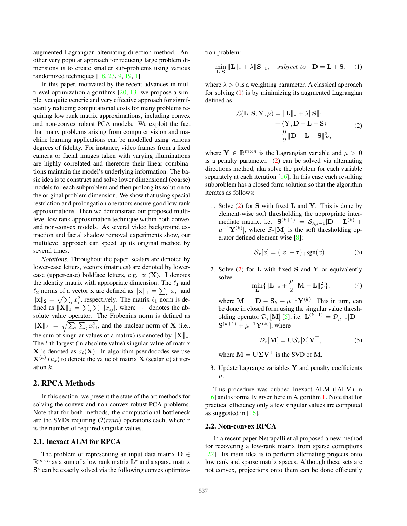<span id="page-1-4"></span>augmented Lagrangian alternating direction method. Another very popular approach for reducing large problem dimensions is to create smaller sub-problems using various randomized techniques [\[18,](#page-8-12) [23,](#page-8-13) [9,](#page-7-3) [19,](#page-8-14) [1\]](#page-7-4).

In this paper, motivated by the recent advances in multilevel optimization algorithms  $[20, 13]$  $[20, 13]$  we propose a simple, yet quite generic and very effective approach for significantly reducing computational costs for many problems requiring low rank matrix approximations, including convex and non-convex robust PCA models. We exploit the fact that many problems arising from computer vision and machine learning applications can be modelled using various degrees of fidelity. For instance, video frames from a fixed camera or facial images taken with varying illuminations are highly correlated and therefore their linear combinations maintain the model's underlying information. The basic idea is to construct and solve lower dimensional (coarse) models for each subproblem and then prolong its solution to the original problem dimension. We show that using special restriction and prolongation operators ensure good low rank approximations. Then we demonstrate our proposed multilevel low rank approximation technique within both convex and non-convex models. As several video background extraction and facial shadow removal experiments show, our multilevel approach can speed up its original method by several times.

*Notations.* Throughout the paper, scalars are denoted by lower-case letters, vectors (matrices) are denoted by lowercase (upper-case) boldface letters, e.g.  $x(X)$ . I denotes the identity matrix with appropriate dimension. The  $\ell_1$  and  $\ell_2$  norms of a vector **x** are defined as  $\|\mathbf{x}\|_1 = \sum_i |x_i|$  and  $\|x\|_2 = \sqrt{\sum_i x_i^2}$ , respectively. The matrix  $\ell_1$  norm is defined as  $\|\mathbf{X}\|_{1} = \sum_{i} \sum_{j} |x_{ij}|$ , where  $|\cdot|$  denotes the absolute value operator. The Frobenius norm is defined as  $\|\mathbf{X}\|_F = \sqrt{\sum_i \sum_j x_{ij}^2}$ , and the nuclear norm of **X** (i.e., the sum of singular values of a matrix) is denoted by  $||\mathbf{X}||_*$ . The l-th largest (in absolute value) singular value of matrix **X** is denoted as  $\sigma_l(\mathbf{X})$ . In algorithm pseudocodes we use  $\mathbf{X}^{(k)}(u_k)$  to denote the value of matrix  $\mathbf{X}$  (scalar u) at iteration k.

# 2. RPCA Methods

In this section, we present the state of the art methods for solving the convex and non-convex robust PCA problems. Note that for both methods, the computational bottleneck are the SVDs requiring  $\mathcal{O}(rmn)$  operations each, where r is the number of required singular values.

# 2.1. Inexact ALM for RPCA

The problem of representing an input data matrix  $\mathbf{D} \in$  $\mathbb{R}^{m \times n}$  as a sum of a low rank matrix  $\mathbf{L}^{\star}$  and a sparse matrix S<sup>\*</sup> can be exactly solved via the following convex optimization problem:

<span id="page-1-0"></span>
$$
\min_{\mathbf{L},\mathbf{S}} \|\mathbf{L}\|_{*} + \lambda \|\mathbf{S}\|_{1}, \quad subject \ to \quad \mathbf{D} = \mathbf{L} + \mathbf{S}, \quad (1)
$$

where  $\lambda > 0$  is a weighting parameter. A classical approach for solving [\(1\)](#page-1-0) is by minimizing its augmented Lagrangian defined as

$$
\mathcal{L}(\mathbf{L}, \mathbf{S}, \mathbf{Y}, \mu) = \|\mathbf{L}\|_{*} + \lambda \|\mathbf{S}\|_{1} + \langle \mathbf{Y}, \mathbf{D} - \mathbf{L} - \mathbf{S} \rangle + \frac{\mu}{2} \|\mathbf{D} - \mathbf{L} - \mathbf{S}\|_{F}^{2},
$$
\n(2)

<span id="page-1-1"></span>where  $\mathbf{Y} \in \mathbb{R}^{m \times n}$  is the Lagrangian variable and  $\mu > 0$ is a penalty parameter. [\(2\)](#page-1-1) can be solved via alternating directions method, aka solve the problem for each variable separately at each iteration  $[16]$ . In this case each resulting subproblem has a closed form solution so that the algorithm iterates as follows:

1. Solve  $(2)$  for S with fixed L and Y. This is done by element-wise soft thresholding the appropriate intermediate matrix, i.e.  $S^{(k+1)} = S_{\lambda\mu-1}[\mathbf{D} - \mathbf{L}^{(k)} +$  $\mu^{-1} \mathbf{Y}^{(k)}$ , where  $\mathcal{S}_{\tau}[\mathbf{M}]$  is the soft thresholding operator defined element-wise [\[8\]](#page-7-2):

$$
\mathcal{S}_{\tau}[x] = (|x| - \tau)_{+} \text{sgn}(x). \tag{3}
$$

2. Solve  $(2)$  for **L** with fixed **S** and **Y** or equivalently solve

<span id="page-1-3"></span>
$$
\min_{\mathbf{L}} \{ \|\mathbf{L}\|_{*} + \frac{\mu}{2} \|\mathbf{M} - \mathbf{L}\|_{F}^{2} \},\tag{4}
$$

where  $\mathbf{M} = \mathbf{D} - \mathbf{S}_k + \mu^{-1} \mathbf{Y}^{(k)}$ . This in turn, can be done in closed form using the singular value thresholding operator  $\mathcal{D}_{\tau}[\mathbf{M}]$  [\[5\]](#page-7-5), i.e.  $\mathbf{L}^{(k+1)} = \mathcal{D}_{\mu^{-1}}[\mathbf{D} {\bf S}^{(k+1)} + \mu^{-1} {\bf Y}^{(k)}$ , where

<span id="page-1-2"></span>
$$
\mathcal{D}_{\tau}[\mathbf{M}] = \mathbf{U}\mathcal{S}_{\tau}[\Sigma]\mathbf{V}^{\top},\tag{5}
$$

where  $M = U\Sigma V^{\top}$  is the SVD of M.

3. Update Lagrange variables  $Y$  and penalty coefficients  $\mu$ .

This procedure was dubbed Inexact ALM (IALM) in [\[16\]](#page-8-9) and is formally given here in Algorithm [1.](#page-2-0) Note that for practical efficiency only a few singular values are computed as suggested in [\[16\]](#page-8-9).

#### 2.2. Non-convex RPCA

In a recent paper Netrapalli et al proposed a new method for recovering a low-rank matrix from sparse corruptions [\[22\]](#page-8-10). Its main idea is to perform alternating projects onto low rank and sparse matrix spaces. Although these sets are not convex, projections onto them can be done efficiently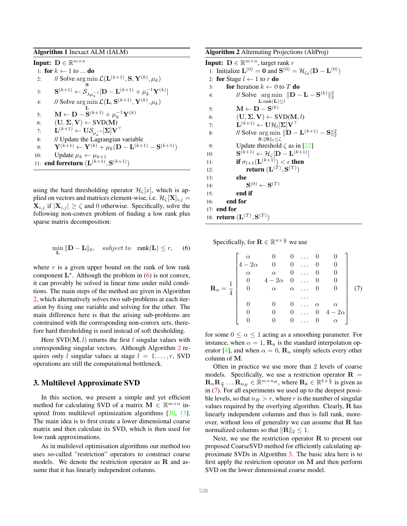<span id="page-2-4"></span><span id="page-2-0"></span>Algorithm 1 Inexact ALM (IALM) Input:  $\mathbf{D} \in \mathbb{R}^{m \times n}$ 1: for  $k \leftarrow 1$  to ... do 2: // Solve  $\arg \min \mathcal{L}(\mathbf{L}^{(k+1)}, \mathbf{S}, \mathbf{Y}^{(k)}, \mu_k)$ 3:  $\mathbf{S}^{(k+1)} \leftarrow \mathcal{S}_{\lambda \mu_k^{-1}}[\mathbf{D} - \mathbf{L}^{(k+1)} + \mu_k^{-1} \mathbf{Y}^{(k)}]$ 4: // Solve  $\argmin_{\mathbf{L}} \mathcal{L}(\mathbf{L}, \mathbf{S}^{(k+1)}, \mathbf{Y}^{(k)}, \mu_k)$ 5:  $\mathbf{M} \leftarrow \mathbf{D} - \mathbf{S}^{(k+1)} + \mu_k^{-1} \mathbf{Y}^{(k)}$ 6:  $(\mathbf{U}, \mathbf{\Sigma}, \mathbf{V}) \leftarrow \text{SVD}(\mathbf{M})$ 7:  $\mathbf{L}^{(k+1)} \leftarrow \mathbf{U} \mathcal{S}_{\mu_k^{-1}}[\mathbf{\Sigma}] \mathbf{V}^\top$ 8: // Update the Lagrangian variable  $\mathbf{y}: \qquad \mathbf{Y}^{(k+1)} \leftarrow \mathbf{Y}^{(k)} + \mu_k (\mathbf{D} - \mathbf{L}^{(k+1)} - \mathbf{S}^{(k+1)})$ 10: Update  $\mu_k \leftarrow \mu_{k+1}$ 11: **end forreturn**  $(L^{(k+1)}, S^{(k+1)})$ 

using the hard thresholding operator  $\mathcal{H}_{\zeta}[x]$ , which is applied on vectors and matrices element-wise, i.e.  $\mathcal{H}_{\zeta}[\mathbf{X}]_{i,j} =$  $|\mathbf{X}_{i,j}$  if  $|\mathbf{X}_{i,j}| \geq \zeta$  and 0 otherwise. Specifically, solve the following non-convex problem of finding a low rank plus sparse matrix decomposition:

<span id="page-2-1"></span>
$$
\min_{\mathbf{L}} \|\mathbf{D} - \mathbf{L}\|_0, \quad subject \ to \quad \text{rank}(\mathbf{L}) \le r, \tag{6}
$$

where  $r$  is a given upper bound on the rank of low rank component  $\mathbf{L}^*$ . Although the problem in [\(6\)](#page-2-1) is not convex, it can provably be solved in linear time under mild conditions. The main steps of the method are given in Algorithm [2,](#page-2-2) which alternatively solves two sub-problems at each iteration by fixing one variable and solving for the other. The main difference here is that the arising sub-problems are constrained with the corresponding non-convex sets, therefore hard thresholding is used instead of soft thesholding.

Here  $SVD(M, l)$  returns the first l singular values with corresponding singular vectors. Although Algorithm [2](#page-2-2) requires only l singular values at stage  $l = 1, \ldots, r$ , SVD operations are still the computational bottleneck.

# 3. Multilevel Approximate SVD

In this section, we present a simple and yet efficient method for calculating SVD of a matrix  $\mathbf{M} \in \mathbb{R}^{m \times n}$  in-spired from multilevel optimization algorithms [\[20,](#page-8-15) [13\]](#page-8-16). The main idea is to first create a lower dimensional coarse matrix and then calculate its SVD, which is then used for low rank approximations.

As in multilevel optimisation algorithms our method too uses so-called "restriction" operators to construct coarse models. We denote the restriction operator as  $\bf{R}$  and assume that it has linearly independent columns.

<span id="page-2-2"></span>Algorithm 2 Alternating Projections (AltProj)

**Input:**  $\mathbf{D} \in \mathbb{R}^{m \times n}$ , target rank r 1: Initialize  $\mathbf{L}^{(0)} = \mathbf{0}$  and  $\mathbf{S}^{(0)} = \mathcal{H}_{\zeta_0}(\mathbf{D} - \mathbf{L}^{(0)})$ 2: for Stage  $l \leftarrow 1$  to r do 3: **for** Iteration  $k \leftarrow 0$  to T **do** 4: // Solve  $\arg \min \| \mathbf{D} - \mathbf{L} - \mathbf{S}^{(k)} \|_2^2$  $\mathbf{L}:\text{rank}(\mathbf{L})\leq l$ 5:  $\mathbf{M} \leftarrow \mathbf{D} - \mathbf{S}^{(k)}$ 6:  $(U, \Sigma, V) \leftarrow \text{SVD}(M, l)$ 7:  $\mathbf{L}^{(k+1)} \leftarrow \mathbf{U}\mathcal{H}_l[\mathbf{\Sigma}]\mathbf{V}^\top$ 8: // Solve  $\arg \min \| \mathbf{D} - \mathbf{L}^{(k+1)} - \mathbf{S} \|_2^2$  $\mathbf{S}:\|\mathbf{S}\|_0\leq\zeta$ 9: Update threshold  $\zeta$  as in [\[22\]](#page-8-10) 10:  $\mathbf{S}^{(k+1)} \leftarrow \mathcal{H}_{\zeta}[\mathbf{D} - \mathbf{L}^{(k+1)}]$ 11: **if**  $\sigma_{l+1}(\mathbf{L}^{(k+1)}) < \epsilon$  then 12: **return**  $(\mathbf{L}^{(T)}, \mathbf{S}^{(T)})$ 13: else  $14:$  $(0) \leftarrow S^{(T)}$ 15: end if 16: end for 17: end for 18: **return**  $(L^{(T)}, S^{(T)})$ 

Specifically, for  $\mathbf{R} \in \mathbb{R}^{n \times \frac{n}{2}}$  we use

<span id="page-2-3"></span>
$$
\mathbf{R}_n = \frac{1}{4} \begin{bmatrix} \alpha & 0 & 0 & \dots & 0 & 0 \\ 4 - 2\alpha & 0 & 0 & \dots & 0 & 0 \\ \alpha & \alpha & 0 & \dots & 0 & 0 \\ 0 & 4 - 2\alpha & 0 & \dots & 0 & 0 \\ 0 & \alpha & \alpha & \dots & 0 & 0 \\ 0 & 0 & 0 & \dots & \alpha & \alpha \\ 0 & 0 & 0 & \dots & 0 & 4 - 2\alpha \\ 0 & 0 & 0 & \dots & 0 & \alpha \end{bmatrix} \quad (7)
$$

for some  $0 \le \alpha \le 1$  acting as a smoothing parameter. For instance, when  $\alpha = 1$ ,  $\mathbf{R}_n$  is the standard interpolation op-erator [\[4\]](#page-7-6), and when  $\alpha = 0$ ,  $\mathbf{R}_n$  simply selects every other column of M.

Often in practice we use more than 2 levels of coarse models. Specifically, we use a restriction operator  $\mathbf{R} =$  $\mathbf{R}_n \mathbf{R}_{\frac{n}{2}} \dots \mathbf{R}_{n_H} \in \mathbb{R}^{m \times n_H}$ , where  $\mathbf{R}_k \in \mathbb{R}^{k \times \frac{k}{2}}$  is given as in [\(7\)](#page-2-3). For all experiments we used up to the deepest possible levels, so that  $n_H > r$ , where r is the number of singular values required by the overlying algorithm. Clearly, R has linearly independent columns and thus is full rank, moreover, without loss of generality we can assume that  $\bf{R}$  has normalized columns so that  $\|\mathbf{R}\|_2 \leq 1$ .

Next, we use the restriction operator  $R$  to present our proposed CoarseSVD method for efficiently calculating approximate SVDs in Algorithm [3.](#page-3-0) The basic idea here is to first apply the restriction operator on M and then perform SVD on the lower dimensional coarse model.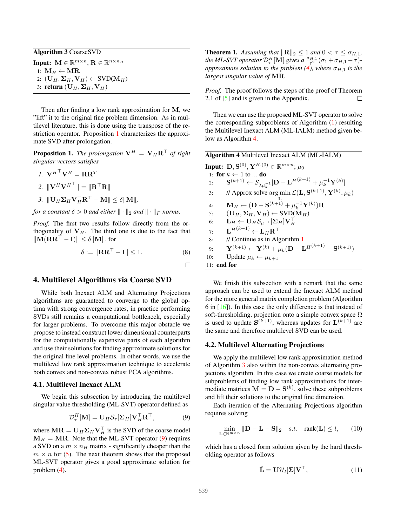<span id="page-3-5"></span><span id="page-3-0"></span>Algorithm 3 CoarseSVD

Input:  $\mathbf{M} \in \mathbb{R}^{m \times n}$ ,  $\mathbf{R} \in \mathbb{R}^{n \times n_H}$ 1:  $M_H \leftarrow MR$ 2:  $(\mathbf{U}_H, \Sigma_H, \mathbf{V}_H) \leftarrow \text{SVD}(\mathbf{M}_H)$ 3: return  $(\mathbf{U}_H, \Sigma_H, \mathbf{V}_H)$ 

Then after finding a low rank approximation for M, we "lift" it to the original fine problem dimension. As in multilevel literature, this is done using the transpose of the restriction operator. Proposition [1](#page-3-1) characterizes the approximate SVD after prolongation.

<span id="page-3-1"></span>**Proposition 1.** *The prolongation*  $V^H = V_H R^{\top}$  *of right singular vectors satisfies*

1. 
$$
\mathbf{V}^{H\top}\mathbf{V}^{H} = \mathbf{R}\mathbf{R}^{T}
$$
  
\n2.  $\|\mathbf{V}^{H}\mathbf{V}^{H\top}\| = \|\mathbf{R}^{T}\mathbf{R}\|$   
\n3.  $\|\mathbf{U}_{H}\mathbf{\Sigma}_{H}\mathbf{V}_{H}^{T}\mathbf{R}^{T} - \mathbf{M}\| \leq \delta \|\mathbf{M}\|$ ,

*for a constant*  $\delta > 0$  *and either*  $\|\cdot\|_2$  *and*  $\|\cdot\|_F$  *norms.* 

*Proof.* The first two results follow directly from the orthogonality of  $V_H$ . The third one is due to the fact that  $\|\mathbf{M}(\mathbf{R}\mathbf{R}^{\top} - \mathbf{I})\| \leq \delta \|\mathbf{M}\|$ , for

$$
\delta := \|\mathbf{R}\mathbf{R}^{\top} - \mathbf{I}\| \le 1. \tag{8}
$$

 $\Box$ 

## 4. Multilevel Algorithms via Coarse SVD

While both Inexact ALM and Alternating Projections algorithms are guaranteed to converge to the global optima with strong convergence rates, in practice performing SVDs still remains a computational bottleneck, especially for larger problems. To overcome this major obstacle we propose to instead construct lower dimensional counterparts for the computationally expensive parts of each algorithm and use their solutions for finding approximate solutions for the original fine level problems. In other words, we use the multilevel low rank approximation technique to accelerate both convex and non-convex robust PCA algorithms.

# 4.1. Multilevel Inexact ALM

We begin this subsection by introducing the multilevel singular value thresholding (ML-SVT) operator defined as

<span id="page-3-2"></span>
$$
\mathcal{D}_{\tau}^{H}[\mathbf{M}] = \mathbf{U}_{H} \mathcal{S}_{\tau}[\Sigma_{H}] \mathbf{V}_{H}^{\top} \mathbf{R}^{\top},
$$
 (9)

where  $\text{MR} = \textbf{U}_H \Sigma_H \textbf{V}_H^\top$  is the SVD of the coarse model  $M_H = MR$ . Note that the ML-SVT operator [\(9\)](#page-3-2) requires a SVD on a  $m \times n_H$  matrix - significantly cheaper than the  $m \times n$  for [\(5\)](#page-1-2). The next theorem shows that the proposed ML-SVT operator gives a good approximate solution for problem [\(4\)](#page-1-3).

**Theorem 1.** Assuming that  $\|\mathbf{R}\|_2 \leq 1$  and  $0 < \tau \leq \sigma_{H,1}$ , *the ML-SVT operator*  $\mathcal{D}_{\tau}^{H}$  [M] *gives a*  $\frac{\sigma_{H,1}}{\tau^2}$  ( $\sigma_1 + \sigma_{H,1} - \tau$ )*approximate solution to the problem* [\(4\)](#page-1-3)*, where*  $\sigma_{H,1}$  *is the largest singular value of* MR*.*

*Proof.* The proof follows the steps of the proof of Theorem 2.1 of [\[5\]](#page-7-5) and is given in the Appendix.  $\Box$ 

Then we can use the proposed ML-SVT operator to solve the corresponding subproblems of Algorithm [\(1\)](#page-2-0) resulting the Multilevel Inexact ALM (ML-IALM) method given below as Algorithm [4.](#page-3-3)

<span id="page-3-3"></span>

|     | Algorithm 4 Multilevel Inexact ALM (ML-IALM) |                                                                                                                                                         |  |  |  |
|-----|----------------------------------------------|---------------------------------------------------------------------------------------------------------------------------------------------------------|--|--|--|
|     |                                              | Input: $\mathbf{D}, \mathbf{S}^{(0)}, \mathbf{Y}^{H,(0)} \in \mathbb{R}^{m \times n}$ ; $\mu_0$                                                         |  |  |  |
|     |                                              | 1: for $k \leftarrow 1$ to  do                                                                                                                          |  |  |  |
| 2:  |                                              | $\mathbf{S}^{(k+1)} \leftarrow \mathcal{S}_{\lambda \mu_{\scriptscriptstyle{k}}^{-1}}[\mathbf{D} - \mathbf{L}^{H(k+1)} + \mu_{k}^{-1}\mathbf{Y}^{(k)}]$ |  |  |  |
| 3:  |                                              | // Approx solve $\arg \min \mathcal{L}(\mathbf{L}, \mathbf{S}^{(k+1)}, \mathbf{Y}^{(k)}, \mu_k)$                                                        |  |  |  |
| 4:  |                                              | $\mathbf{M}_H \leftarrow (\mathbf{D} - \mathbf{S}^{(k+1)} + \mu_k^{-1} \mathbf{Y}^{(k)}) \mathbf{R}$                                                    |  |  |  |
| 5:  |                                              | $(\mathbf{U}_H, \Sigma_H, \mathbf{V}_H) \leftarrow \text{SVD}(\mathbf{M}_H)$                                                                            |  |  |  |
| 6:  |                                              | $\mathbf{L}_H \leftarrow \mathbf{U}_H \mathcal{S}_{\mu^{-1}}[\mathbf{\Sigma}_H] \mathbf{V}_H^\top$                                                      |  |  |  |
| 7:  |                                              | $\mathbf{L}^{H(k+1)} \leftarrow \mathbf{L}_{H} \mathbf{R}^{\top}$                                                                                       |  |  |  |
| 8:  |                                              | // Continue as in Algorithm 1                                                                                                                           |  |  |  |
| 9:  |                                              | $\mathbf{Y}^{(k+1)} \leftarrow \mathbf{Y}^{(k)} + \mu_k (\mathbf{D} - \mathbf{L}^{H(k+1)} - \mathbf{S}^{(k+1)})$                                        |  |  |  |
| 10: |                                              | Update $\mu_k \leftarrow \mu_{k+1}$                                                                                                                     |  |  |  |
|     |                                              | 11: end for                                                                                                                                             |  |  |  |

We finish this subsection with a remark that the same approach can be used to extend the Inexact ALM method for the more general matrix completion problem (Algorithm 6 in [\[16\]](#page-8-9)). In this case the only difference is that instead of soft-thresholding, projection onto a simple convex space  $\Omega$ is used to update  $\mathbf{S}^{(k+1)}$ , whereas updates for  $\mathbf{L}^{(k+1)}$  are the same and therefore multilevel SVD can be used.

#### 4.2. Multilevel Alternating Projections

We apply the multilevel low rank approximation method of Algorithm [3](#page-3-0) also within the non-convex alternating projections algorithm. In this case we create coarse models for subproblems of finding low rank approximations for intermediate matrices  $\mathbf{M} = \mathbf{D} - \mathbf{S}^{(k)}$ , solve these subproblems and lift their solutions to the original fine dimension.

Each iteration of the Alternating Projections algorithm requires solving

<span id="page-3-4"></span>
$$
\min_{\mathbf{L}\in\mathbb{R}^{m\times n}}\|\mathbf{D}-\mathbf{L}-\mathbf{S}\|_2 \quad s.t. \quad \text{rank}(\mathbf{L})\le l,\qquad(10)
$$

which has a closed form solution given by the hard thresholding operator as follows

$$
\hat{\mathbf{L}} = \mathbf{U}\mathcal{H}_l[\mathbf{\Sigma}]\mathbf{V}^\top,\tag{11}
$$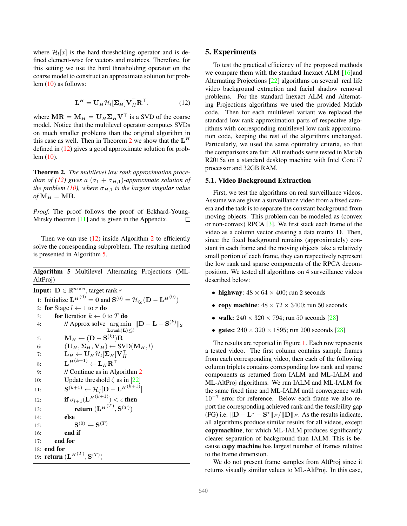<span id="page-4-3"></span>where  $\mathcal{H}_l[x]$  is the hard thresholding operator and is defined element-wise for vectors and matrices. Therefore, for this setting we use the hard thresholding operator on the coarse model to construct an approximate solution for problem [\(10\)](#page-3-4) as follows:

<span id="page-4-1"></span>
$$
\mathbf{L}^{H} = \mathbf{U}_{H} \mathcal{H}_{l} [\mathbf{\Sigma}_{H}] \mathbf{V}_{H}^{\top} \mathbf{R}^{\top}, \tag{12}
$$

where  $MR = M_H = U_H \Sigma_H V^\top$  is a SVD of the coarse model. Notice that the multilevel operator computes SVDs on much smaller problems than the original algorithm in this case as well. Then in Theorem [2](#page-4-0) we show that the  $L^H$ defined in [\(12\)](#page-4-1) gives a good approximate solution for problem [\(10\)](#page-3-4).

<span id="page-4-0"></span>Theorem 2. *The multilevel low rank approximation procedure of* [\(12\)](#page-4-1) gives a  $(\sigma_1 + \sigma_{H,1})$ *-approximate solution of the problem [\(10\)](#page-3-4), where*  $\sigma_{H,1}$  *is the largest singular value*  $of$ **M** $_H$  = **MR**.

*Proof.* The proof follows the proof of Eckhard-Young-Mirsky theorem [\[11\]](#page-8-17) and is given in the Appendix.  $\Box$ 

Then we can use  $(12)$  $(12)$  $(12)$  inside Algorithm 2 to efficiently solve the corresponding subproblem. The resulting method is presented in Algorithm [5.](#page-4-2)

<span id="page-4-2"></span>Algorithm 5 Multilevel Alternating Projections (ML-AltProj)

**Input:**  $\mathbf{D} \in \mathbb{R}^{m \times n}$ , target rank r 1: Initialize  ${\bf L}^{H(0)} = {\bf 0}$  and  ${\bf S}^{(0)} = {\cal H}_{\zeta_0}({\bf D} - {\bf L}^{H(0)})$ 2: for Stage  $l \leftarrow 1$  to r do 3: for Iteration  $k \leftarrow 0$  to T do 4: // Approx solve  $\arg \min \| \mathbf{D} - \mathbf{L} - \mathbf{S}^{(k)} \|_2$  $\widetilde{\mathbf{L}}$ :rank $(\mathbf{L}) \leq l$ 5:  $\mathbf{M}_H \leftarrow (\mathbf{D} - \mathbf{S}^{(k)}) \mathbf{R}$ 6:  $(\mathbf{U}_H, \mathbf{\Sigma}_H, \mathbf{V}_H) \leftarrow \text{SVD}(\mathbf{M}_H, l)$ 7:  ${\bf L}_H \leftarrow {\bf U}_H \mathcal{H}_l[{\bf \Sigma}_H]{\bf V}_H^{\top} \nonumber \ \text{8:} \qquad \qquad {\bf L}^{H(k+1)} \leftarrow {\bf L}_H {\bf R}^{\top}$ 9: // Continue as in Algorithm [2](#page-2-2) 10: Update threshold  $\zeta$  as in [[22](#page-8-10)] 11:  $\mathbf{S}^{(k+1)} \leftarrow \mathcal{H}_{\zeta}[\mathbf{D} - \mathbf{L}^{H(k+1)}]$ 12: **if**  $\sigma_{l+1}(\mathbf{L}^{H(k+1)}) < \epsilon$  then 13: **return**  $(\mathbf{L}^{H(T)}, \mathbf{S}^{(T)})$ 14: else 15:  $\mathbf{S}^{(0)} \leftarrow \mathbf{S}^{(T)}$ 16: end if 17: end for 18: end for 19: **return**  $({\bf L}^{H^{(T)}},{\bf S}^{(T)})$ 

# 5. Experiments

To test the practical efficiency of the proposed methods we compare them with the standard Inexact ALM [\[16\]](#page-8-9)and Alternating Projections [\[22\]](#page-8-10) algorithms on several real life video background extraction and facial shadow removal problems. For the standard Inexact ALM and Alternating Projections algorithms we used the provided Matlab code. Then for each multilevel variant we replaced the standard low rank approximation parts of respective algorithms with corresponding multilevel low rank approximation code, keeping the rest of the algorithms unchanged. Particularly, we used the same optimality criteria, so that the comparisons are fair. All methods were tested in Matlab R2015a on a standard desktop machine with Intel Core i7 processor and 32GB RAM.

### 5.1. Video Background Extraction

First, we test the algorithms on real surveillance videos. Assume we are given a surveillance video from a fixed camera and the task is to separate the constant background from moving objects. This problem can be modeled as (convex or non-convex) RPCA [\[3\]](#page-7-7). We first stack each frame of the video as a column vector creating a data matrix D. Then, since the fixed background remains (approximately) constant in each frame and the moving objects take a relatively small portion of each frame, they can respectively represent the low rank and sparse components of the RPCA decomposition. We tested all algorithms on 4 surveillance videos described below:

- highway:  $48 \times 64 \times 400$ ; run 2 seconds
- copy machine:  $48 \times 72 \times 3400$ ; run 50 seconds
- walk:  $240 \times 320 \times 794$ ; run 50 seconds [\[28\]](#page-8-18)
- gates:  $240 \times 320 \times 1895$ ; run 200 seconds [\[28\]](#page-8-18)

The results are reported in Figure [1.](#page-5-0) Each row represents a tested video. The first column contains sample frames from each corresponding video, then each of the following column triplets contains corresponding low rank and sparse components as returned from IALM and ML-IALM and ML-AltProj algorithms. We run IALM and ML-IALM for the same fixed time and ML-IALM until convergence with 10<sup>−</sup><sup>7</sup> error for reference. Below each frame we also report the corresponding achieved rank and the feasibility gap (FG) i.e.  $\Vert \mathbf{D} - \mathbf{L}^* - \mathbf{S}^* \Vert_F / \Vert \mathbf{D} \Vert_F$ . As the results indicate, all algorithms produce similar results for all videos, except copymachine, for which ML-IALM produces significantly clearer separation of background than IALM. This is because copy machine has largest number of frames relative to the frame dimension.

We do not present frame samples from AltProj since it returns visually similar values to ML-AltProj. In this case,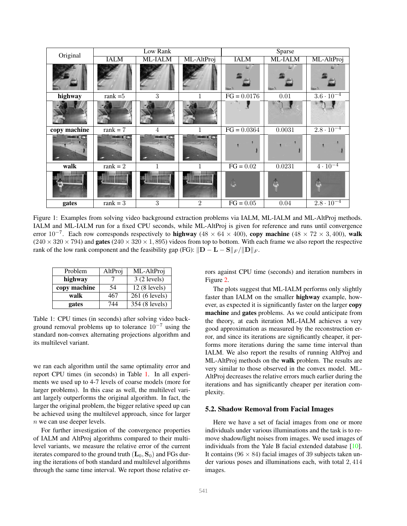<span id="page-5-2"></span><span id="page-5-0"></span>

| Original              | Low Rank          |                |                      | Sparse        |                   |                     |
|-----------------------|-------------------|----------------|----------------------|---------------|-------------------|---------------------|
|                       | <b>IALM</b>       | ML-IALM        | ML-AltProj           | <b>IALM</b>   | ML-IALM           | ML-AltProj          |
|                       |                   |                |                      |               |                   |                     |
| highway               | rank $=5$         | 3              |                      | $FG = 0.0176$ | $\overline{0.01}$ | $3.6 \cdot 10^{-4}$ |
|                       |                   |                |                      |               |                   |                     |
| copy machine          | rank $= 7$        | $\overline{4}$ |                      | $FG = 0.0364$ | 0.0031            | $2.8 \cdot 10^{-4}$ |
| <b>BART IN A PART</b> | <u>wa ne ya s</u> | Mille a        | <b>INTERNATIONAL</b> |               |                   |                     |
| walk                  | rank $= 2$        |                |                      | $FG = 0.02$   | 0.0231            | $4 \cdot 10^{-4}$   |
|                       |                   |                |                      |               | Ê                 | É                   |
| gates                 | rank = $3$        | $\overline{3}$ | $\overline{2}$       | $FG = 0.05$   | 0.04              | $2.8 \cdot 10^{-4}$ |

Figure 1: Examples from solving video background extraction problems via IALM, ML-IALM and ML-AltProj methods. IALM and ML-IALM run for a fixed CPU seconds, while ML-AltProj is given for reference and runs until convergence error  $10^{-7}$ . Each row corresponds respectively to highway ( $48 \times 64 \times 400$ ), copy machine ( $48 \times 72 \times 3,400$ ), walk  $(240 \times 320 \times 794)$  and gates  $(240 \times 320 \times 1, 895)$  videos from top to bottom. With each frame we also report the respective rank of the low rank component and the feasibility gap (FG):  $\|\mathbf{D} - \mathbf{L} - \mathbf{S}\|_F / \|\mathbf{D}\|_F$ .

<span id="page-5-1"></span>

| Problem      | AltProj | ML-AltProj     |
|--------------|---------|----------------|
| highway      |         | 3(2 levels)    |
| copy machine | 54      | $12(8$ levels) |
| walk         | 467     | 261 (6 levels) |
| gates        | 744     | 354 (8 levels) |

Table 1: CPU times (in seconds) after solving video background removal problems up to tolerance  $10^{-7}$  using the standard non-convex alternating projections algorithm and its multilevel variant.

we ran each algorithm until the same optimality error and report CPU times (in seconds) in Table [1.](#page-5-1) In all experiments we used up to 4-7 levels of coarse models (more for larger problems). In this case as well, the multilevel variant largely outperforms the original algorithm. In fact, the larger the original problem, the bigger relative speed up can be achieved using the multilevel approach, since for larger n we can use deeper levels.

For further investigation of the convergence properties of IALM and AltProj algorithms compared to their multilevel variants, we measure the relative error of the current iterates compared to the ground truth  $(L_0, S_0)$  and FGs during the iterations of both standard and multilevel algorithms through the same time interval. We report those relative errors against CPU time (seconds) and iteration numbers in Figure [2.](#page-6-0)

The plots suggest that ML-IALM performs only slightly faster than IALM on the smaller highway example, however, as expected it is significantly faster on the larger copy machine and gates problems. As we could anticipate from the theory, at each iteration ML-IALM achieves a very good approximation as measured by the reconstruction error, and since its iterations are significantly cheaper, it performs more iterations during the same time interval than IALM. We also report the results of running AltProj and ML-AltProj methods on the walk problem. The results are very similar to those observed in the convex model. ML-AltProj decreases the relative errors much earlier during the iterations and has significantly cheaper per iteration complexity.

### 5.2. Shadow Removal from Facial Images

Here we have a set of facial images from one or more individuals under various illuminations and the task is to remove shadow/light noises from images. We used images of individuals from the Yale B facial extended database [\[10\]](#page-8-19). It contains (96  $\times$  84) facial images of 39 subjects taken under various poses and illuminations each, with total 2, 414 images.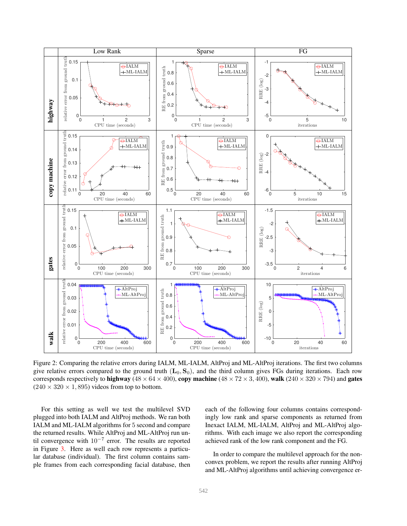<span id="page-6-0"></span>

Figure 2: Comparing the relative errors during IALM, ML-IALM, AltProj and ML-AltProj iterations. The first two columns give relative errors compared to the ground truth  $(L_0, S_0)$ , and the third column gives FGs during iterations. Each row corresponds respectively to highway ( $48 \times 64 \times 400$ ), copy machine ( $48 \times 72 \times 3,400$ ), walk ( $240 \times 320 \times 794$ ) and gates  $(240 \times 320 \times 1, 895)$  videos from top to bottom.

For this setting as well we test the multilevel SVD plugged into both IALM and AltProj methods. We ran both IALM and ML-IALM algorithms for 5 second and compare the returned results. While AltProj and ML-AltProj run until convergence with  $10^{-7}$  error. The results are reported in Figure [3.](#page-7-8) Here as well each row represents a particular database (individual). The first column contains sample frames from each corresponding facial database, then each of the following four columns contains correspondingly low rank and sparse components as returned from Inexact IALM, ML-IALM, AltProj and ML-AltProj algorithms. With each image we also report the corresponding achieved rank of the low rank component and the FG.

In order to compare the multilevel approach for the nonconvex problem, we report the results after running AltProj and ML-AltProj algorithms until achieving convergence er-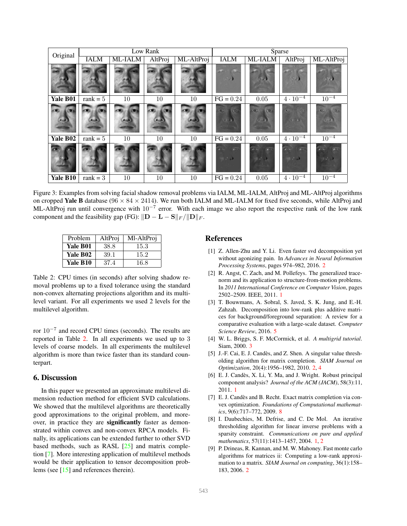<span id="page-7-11"></span><span id="page-7-8"></span>

| Original                  | Low Rank    |         |         |            | Sparse                            |                                                |                                         |                                             |
|---------------------------|-------------|---------|---------|------------|-----------------------------------|------------------------------------------------|-----------------------------------------|---------------------------------------------|
|                           | <b>IALM</b> | ML-IALM | AltProj | ML-AltProj | <b>IALM</b>                       | ML-IALM                                        | AltProj                                 | ML-AltProj                                  |
|                           |             |         |         |            |                                   |                                                |                                         |                                             |
| Yale B01                  | rank $= 5$  | 10      | 10      | 10         | $FG = 0.24$                       | 0.05                                           | $4 \cdot 10^{-4}$                       | $10^{-4}$                                   |
| $\left( 0 \right)$<br>701 | <b>ZU</b>   |         |         |            | $\alpha_{\rm 2N}$<br>AC           | $\langle \Omega \rangle_{\rm c}$<br>$\sqrt{Q}$ | $\langle \cdot \rangle$<br>707<br>0/1   | <b>ON</b><br>(4)                            |
| Yale B02                  | rank $= 5$  | 10      | 10      | 10         | $FG = 0.24$                       | $0.05\,$                                       | $4 \cdot 10^{-4}$                       | $10^{-4}$                                   |
|                           |             |         |         |            | $\sigma$<br>$\overline{1}$<br>物より | 7.1                                            | $\overline{1}$<br>$\overline{a}$<br>勝い。 | 7.1<br>1980<br>$\mathcal{D} = \{x_i, y_i\}$ |
| Yale B10                  | rank $=$ 3  | 10      | 10      | 10         | $FG = 0.24$                       | 0.05                                           | $4 \cdot 10^{-4}$                       | $10^{-4}$                                   |

Figure 3: Examples from solving facial shadow removal problems via IALM, ML-IALM, AltProj and ML-AltProj algorithms on cropped Yale B database ( $96 \times 84 \times 2414$ ). We run both IALM and ML-IALM for fixed five seconds, while AltProj and ML-AltProj run until convergence with  $10^{-7}$  error. With each image we also report the respective rank of the low rank component and the feasibility gap (FG):  $\|\mathbf{D} - \mathbf{L} - \mathbf{S}\|_F / \|\mathbf{D}\|_F$ .

<span id="page-7-9"></span>

| Problem  | AltProi | Ml-AltProj |  |  |
|----------|---------|------------|--|--|
| Yale B01 | 38.8    | 15.3       |  |  |
| Yale B02 | 39.1    | 15.2       |  |  |
| Yale B10 | 37.4    | 16.8       |  |  |

Table 2: CPU times (in seconds) after solving shadow removal problems up to a fixed tolerance using the standard non-convex alternating projections algorithm and its multilevel variant. For all experiments we used 2 levels for the multilevel algorithm.

ror 10<sup>−</sup><sup>7</sup> and record CPU times (seconds). The results are reported in Table [2.](#page-7-9) In all experiments we used up to 3 levels of coarse models. In all experiments the multilevel algorithm is more than twice faster than its standard counterpart.

### 6. Discussion

In this paper we presented an approximate multilevel dimension reduction method for efficient SVD calculations. We showed that the multilevel algorithms are theoretically good approximations to the original problem, and moreover, in practice they are significantly faster as demonstrated within convex and non-convex RPCA models. Finally, its applications can be extended further to other SVD based methods, such as RASL [\[25\]](#page-8-2) and matrix completion [\[7\]](#page-7-10). More interesting application of multilevel methods would be their application to tensor decomposition problems (see [\[15\]](#page-8-20) and references therein).

### References

- <span id="page-7-4"></span>[1] Z. Allen-Zhu and Y. Li. Even faster svd decomposition yet without agonizing pain. In *Advances in Neural Information Processing Systems*, pages 974–982, 2016. [2](#page-1-4)
- <span id="page-7-1"></span>[2] R. Angst, C. Zach, and M. Pollefeys. The generalized tracenorm and its application to structure-from-motion problems. In *2011 International Conference on Computer Vision*, pages 2502–2509. IEEE, 2011. [1](#page-0-0)
- <span id="page-7-7"></span>[3] T. Bouwmans, A. Sobral, S. Javed, S. K. Jung, and E.-H. Zahzah. Decomposition into low-rank plus additive matrices for background/foreground separation: A review for a comparative evaluation with a large-scale dataset. *Computer Science Review*, 2016. [5](#page-4-3)
- <span id="page-7-6"></span>[4] W. L. Briggs, S. F. McCormick, et al. *A multigrid tutorial*. Siam, 2000. [3](#page-2-4)
- <span id="page-7-5"></span>[5] J.-F. Cai, E. J. Candès, and Z. Shen. A singular value thresholding algorithm for matrix completion. *SIAM Journal on Optimization*, 20(4):1956–1982, 2010. [2,](#page-1-4) [4](#page-3-5)
- <span id="page-7-0"></span>[6] E. J. Candès, X. Li, Y. Ma, and J. Wright. Robust principal component analysis? *Journal of the ACM (JACM)*, 58(3):11, 2011. [1](#page-0-0)
- <span id="page-7-10"></span>[7] E. J. Candès and B. Recht. Exact matrix completion via convex optimization. *Foundations of Computational mathematics*, 9(6):717–772, 2009. [8](#page-7-11)
- <span id="page-7-2"></span>[8] I. Daubechies, M. Defrise, and C. De Mol. An iterative thresholding algorithm for linear inverse problems with a sparsity constraint. *Communications on pure and applied mathematics*, 57(11):1413–1457, 2004. [1,](#page-0-0) [2](#page-1-4)
- <span id="page-7-3"></span>[9] P. Drineas, R. Kannan, and M. W. Mahoney. Fast monte carlo algorithms for matrices ii: Computing a low-rank approximation to a matrix. *SIAM Journal on computing*, 36(1):158– 183, 2006. [2](#page-1-4)